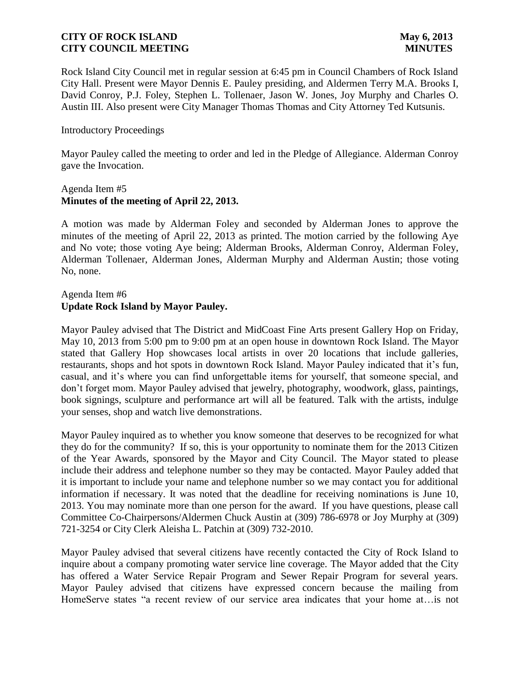Rock Island City Council met in regular session at 6:45 pm in Council Chambers of Rock Island City Hall. Present were Mayor Dennis E. Pauley presiding, and Aldermen Terry M.A. Brooks I, David Conroy, P.J. Foley, Stephen L. Tollenaer, Jason W. Jones, Joy Murphy and Charles O. Austin III. Also present were City Manager Thomas Thomas and City Attorney Ted Kutsunis.

### Introductory Proceedings

Mayor Pauley called the meeting to order and led in the Pledge of Allegiance. Alderman Conroy gave the Invocation.

### Agenda Item #5 **Minutes of the meeting of April 22, 2013.**

A motion was made by Alderman Foley and seconded by Alderman Jones to approve the minutes of the meeting of April 22, 2013 as printed. The motion carried by the following Aye and No vote; those voting Aye being; Alderman Brooks, Alderman Conroy, Alderman Foley, Alderman Tollenaer, Alderman Jones, Alderman Murphy and Alderman Austin; those voting No, none.

## Agenda Item #6 **Update Rock Island by Mayor Pauley.**

Mayor Pauley advised that The District and MidCoast Fine Arts present Gallery Hop on Friday, May 10, 2013 from 5:00 pm to 9:00 pm at an open house in downtown Rock Island. The Mayor stated that Gallery Hop showcases local artists in over 20 locations that include galleries, restaurants, shops and hot spots in downtown Rock Island. Mayor Pauley indicated that it's fun, casual, and it's where you can find unforgettable items for yourself, that someone special, and don't forget mom. Mayor Pauley advised that jewelry, photography, woodwork, glass, paintings, book signings, sculpture and performance art will all be featured. Talk with the artists, indulge your senses, shop and watch live demonstrations.

Mayor Pauley inquired as to whether you know someone that deserves to be recognized for what they do for the community? If so, this is your opportunity to nominate them for the 2013 Citizen of the Year Awards, sponsored by the Mayor and City Council. The Mayor stated to please include their address and telephone number so they may be contacted. Mayor Pauley added that it is important to include your name and telephone number so we may contact you for additional information if necessary. It was noted that the deadline for receiving nominations is June 10, 2013. You may nominate more than one person for the award. If you have questions, please call Committee Co-Chairpersons/Aldermen Chuck Austin at (309) 786-6978 or Joy Murphy at (309) 721-3254 or City Clerk Aleisha L. Patchin at (309) 732-2010.

Mayor Pauley advised that several citizens have recently contacted the City of Rock Island to inquire about a company promoting water service line coverage. The Mayor added that the City has offered a Water Service Repair Program and Sewer Repair Program for several years. Mayor Pauley advised that citizens have expressed concern because the mailing from HomeServe states "a recent review of our service area indicates that your home at…is not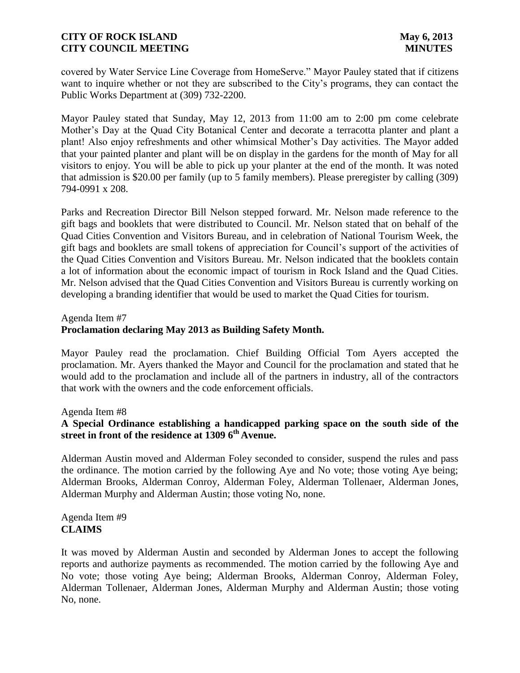covered by Water Service Line Coverage from HomeServe." Mayor Pauley stated that if citizens want to inquire whether or not they are subscribed to the City's programs, they can contact the Public Works Department at (309) 732-2200.

Mayor Pauley stated that Sunday, May 12, 2013 from 11:00 am to 2:00 pm come celebrate Mother's Day at the Quad City Botanical Center and decorate a terracotta planter and plant a plant! Also enjoy refreshments and other whimsical Mother's Day activities. The Mayor added that your painted planter and plant will be on display in the gardens for the month of May for all visitors to enjoy. You will be able to pick up your planter at the end of the month. It was noted that admission is \$20.00 per family (up to 5 family members). Please preregister by calling (309) 794-0991 x 208.

Parks and Recreation Director Bill Nelson stepped forward. Mr. Nelson made reference to the gift bags and booklets that were distributed to Council. Mr. Nelson stated that on behalf of the Quad Cities Convention and Visitors Bureau, and in celebration of National Tourism Week, the gift bags and booklets are small tokens of appreciation for Council's support of the activities of the Quad Cities Convention and Visitors Bureau. Mr. Nelson indicated that the booklets contain a lot of information about the economic impact of tourism in Rock Island and the Quad Cities. Mr. Nelson advised that the Quad Cities Convention and Visitors Bureau is currently working on developing a branding identifier that would be used to market the Quad Cities for tourism.

### Agenda Item #7

## **Proclamation declaring May 2013 as Building Safety Month.**

Mayor Pauley read the proclamation. Chief Building Official Tom Ayers accepted the proclamation. Mr. Ayers thanked the Mayor and Council for the proclamation and stated that he would add to the proclamation and include all of the partners in industry, all of the contractors that work with the owners and the code enforcement officials.

Agenda Item #8

## **A Special Ordinance establishing a handicapped parking space on the south side of the street in front of the residence at 1309 6th Avenue.**

Alderman Austin moved and Alderman Foley seconded to consider, suspend the rules and pass the ordinance. The motion carried by the following Aye and No vote; those voting Aye being; Alderman Brooks, Alderman Conroy, Alderman Foley, Alderman Tollenaer, Alderman Jones, Alderman Murphy and Alderman Austin; those voting No, none.

Agenda Item #9 **CLAIMS**

It was moved by Alderman Austin and seconded by Alderman Jones to accept the following reports and authorize payments as recommended. The motion carried by the following Aye and No vote; those voting Aye being; Alderman Brooks, Alderman Conroy, Alderman Foley, Alderman Tollenaer, Alderman Jones, Alderman Murphy and Alderman Austin; those voting No, none.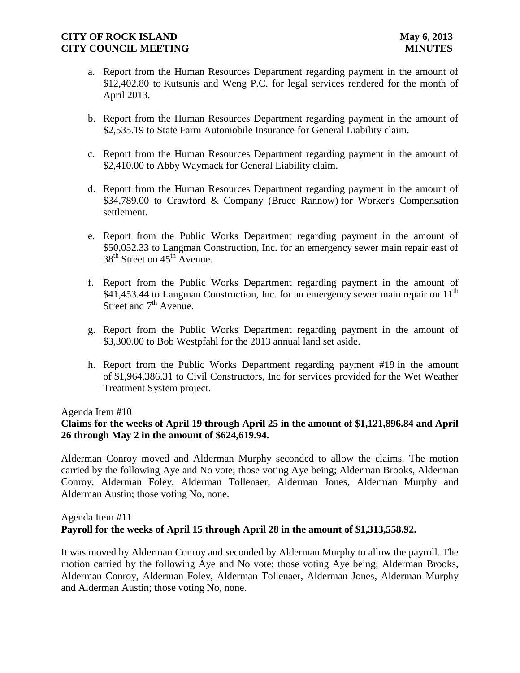- a. Report from the Human Resources Department regarding payment in the amount of \$12,402.80 to Kutsunis and Weng P.C. for legal services rendered for the month of April 2013.
- b. Report from the Human Resources Department regarding payment in the amount of \$2,535.19 to State Farm Automobile Insurance for General Liability claim.
- c. Report from the Human Resources Department regarding payment in the amount of \$2,410.00 to Abby Waymack for General Liability claim.
- d. Report from the Human Resources Department regarding payment in the amount of \$34,789.00 to Crawford & Company (Bruce Rannow) for Worker's Compensation settlement.
- e. Report from the Public Works Department regarding payment in the amount of \$50,052.33 to Langman Construction, Inc. for an emergency sewer main repair east of  $38<sup>th</sup>$  Street on  $45<sup>th</sup>$  Avenue.
- f. Report from the Public Works Department regarding payment in the amount of  $$41,453.44$  to Langman Construction, Inc. for an emergency sewer main repair on  $11<sup>th</sup>$ Street and 7<sup>th</sup> Avenue.
- g. Report from the Public Works Department regarding payment in the amount of \$3,300.00 to Bob Westpfahl for the 2013 annual land set aside.
- h. Report from the Public Works Department regarding payment #19 in the amount of \$1,964,386.31 to Civil Constructors, Inc for services provided for the Wet Weather Treatment System project.

Agenda Item #10

## **Claims for the weeks of April 19 through April 25 in the amount of \$1,121,896.84 and April 26 through May 2 in the amount of \$624,619.94.**

 Alderman Conroy moved and Alderman Murphy seconded to allow the claims. The motion carried by the following Aye and No vote; those voting Aye being; Alderman Brooks, Alderman Conroy, Alderman Foley, Alderman Tollenaer, Alderman Jones, Alderman Murphy and Alderman Austin; those voting No, none.

## Agenda Item #11 **Payroll for the weeks of April 15 through April 28 in the amount of \$1,313,558.92.**

It was moved by Alderman Conroy and seconded by Alderman Murphy to allow the payroll. The motion carried by the following Aye and No vote; those voting Aye being; Alderman Brooks, Alderman Conroy, Alderman Foley, Alderman Tollenaer, Alderman Jones, Alderman Murphy and Alderman Austin; those voting No, none.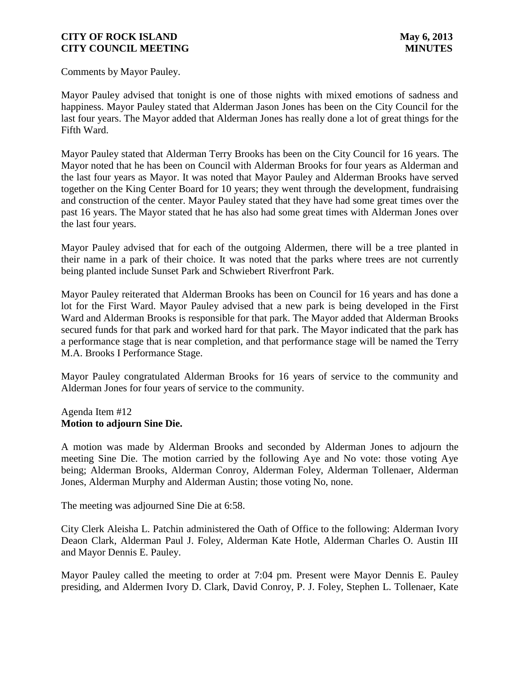Comments by Mayor Pauley.

Mayor Pauley advised that tonight is one of those nights with mixed emotions of sadness and happiness. Mayor Pauley stated that Alderman Jason Jones has been on the City Council for the last four years. The Mayor added that Alderman Jones has really done a lot of great things for the Fifth Ward.

Mayor Pauley stated that Alderman Terry Brooks has been on the City Council for 16 years. The Mayor noted that he has been on Council with Alderman Brooks for four years as Alderman and the last four years as Mayor. It was noted that Mayor Pauley and Alderman Brooks have served together on the King Center Board for 10 years; they went through the development, fundraising and construction of the center. Mayor Pauley stated that they have had some great times over the past 16 years. The Mayor stated that he has also had some great times with Alderman Jones over the last four years.

Mayor Pauley advised that for each of the outgoing Aldermen, there will be a tree planted in their name in a park of their choice. It was noted that the parks where trees are not currently being planted include Sunset Park and Schwiebert Riverfront Park.

Mayor Pauley reiterated that Alderman Brooks has been on Council for 16 years and has done a lot for the First Ward. Mayor Pauley advised that a new park is being developed in the First Ward and Alderman Brooks is responsible for that park. The Mayor added that Alderman Brooks secured funds for that park and worked hard for that park. The Mayor indicated that the park has a performance stage that is near completion, and that performance stage will be named the Terry M.A. Brooks I Performance Stage.

Mayor Pauley congratulated Alderman Brooks for 16 years of service to the community and Alderman Jones for four years of service to the community.

### Agenda Item #12 **Motion to adjourn Sine Die.**

A motion was made by Alderman Brooks and seconded by Alderman Jones to adjourn the meeting Sine Die. The motion carried by the following Aye and No vote: those voting Aye being; Alderman Brooks, Alderman Conroy, Alderman Foley, Alderman Tollenaer, Alderman Jones, Alderman Murphy and Alderman Austin; those voting No, none.

The meeting was adjourned Sine Die at 6:58.

City Clerk Aleisha L. Patchin administered the Oath of Office to the following: Alderman Ivory Deaon Clark, Alderman Paul J. Foley, Alderman Kate Hotle, Alderman Charles O. Austin III and Mayor Dennis E. Pauley.

Mayor Pauley called the meeting to order at 7:04 pm. Present were Mayor Dennis E. Pauley presiding, and Aldermen Ivory D. Clark, David Conroy, P. J. Foley, Stephen L. Tollenaer, Kate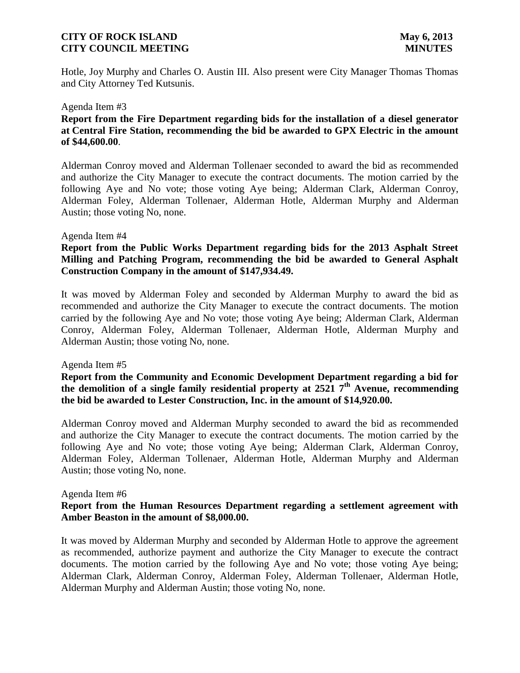Hotle, Joy Murphy and Charles O. Austin III. Also present were City Manager Thomas Thomas and City Attorney Ted Kutsunis.

#### Agenda Item #3

## **Report from the Fire Department regarding bids for the installation of a diesel generator at Central Fire Station, recommending the bid be awarded to GPX Electric in the amount of \$44,600.00**.

Alderman Conroy moved and Alderman Tollenaer seconded to award the bid as recommended and authorize the City Manager to execute the contract documents. The motion carried by the following Aye and No vote; those voting Aye being; Alderman Clark, Alderman Conroy, Alderman Foley, Alderman Tollenaer, Alderman Hotle, Alderman Murphy and Alderman Austin; those voting No, none.

### Agenda Item #4

## **Report from the Public Works Department regarding bids for the 2013 Asphalt Street Milling and Patching Program, recommending the bid be awarded to General Asphalt Construction Company in the amount of \$147,934.49.**

It was moved by Alderman Foley and seconded by Alderman Murphy to award the bid as recommended and authorize the City Manager to execute the contract documents. The motion carried by the following Aye and No vote; those voting Aye being; Alderman Clark, Alderman Conroy, Alderman Foley, Alderman Tollenaer, Alderman Hotle, Alderman Murphy and Alderman Austin; those voting No, none.

#### Agenda Item #5

**Report from the Community and Economic Development Department regarding a bid for the demolition of a single family residential property at 2521 7th Avenue, recommending the bid be awarded to Lester Construction, Inc. in the amount of \$14,920.00.** 

Alderman Conroy moved and Alderman Murphy seconded to award the bid as recommended and authorize the City Manager to execute the contract documents. The motion carried by the following Aye and No vote; those voting Aye being; Alderman Clark, Alderman Conroy, Alderman Foley, Alderman Tollenaer, Alderman Hotle, Alderman Murphy and Alderman Austin; those voting No, none.

#### Agenda Item #6

### **Report from the Human Resources Department regarding a settlement agreement with Amber Beaston in the amount of \$8,000.00.**

It was moved by Alderman Murphy and seconded by Alderman Hotle to approve the agreement as recommended, authorize payment and authorize the City Manager to execute the contract documents. The motion carried by the following Aye and No vote; those voting Aye being; Alderman Clark, Alderman Conroy, Alderman Foley, Alderman Tollenaer, Alderman Hotle, Alderman Murphy and Alderman Austin; those voting No, none.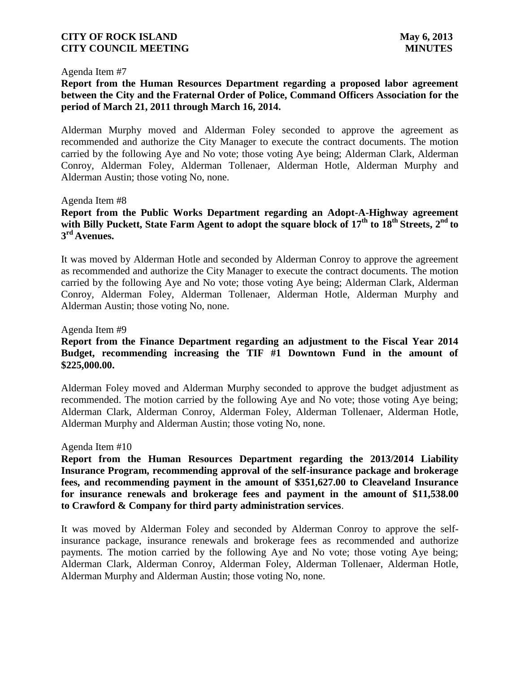#### Agenda Item #7

## **Report from the Human Resources Department regarding a proposed labor agreement between the City and the Fraternal Order of Police, Command Officers Association for the period of March 21, 2011 through March 16, 2014.**

Alderman Murphy moved and Alderman Foley seconded to approve the agreement as recommended and authorize the City Manager to execute the contract documents. The motion carried by the following Aye and No vote; those voting Aye being; Alderman Clark, Alderman Conroy, Alderman Foley, Alderman Tollenaer, Alderman Hotle, Alderman Murphy and Alderman Austin; those voting No, none.

### Agenda Item #8

## **Report from the Public Works Department regarding an Adopt-A-Highway agreement with Billy Puckett, State Farm Agent to adopt the square block of 17th to 18th Streets, 2nd to 3 rd Avenues.**

It was moved by Alderman Hotle and seconded by Alderman Conroy to approve the agreement as recommended and authorize the City Manager to execute the contract documents. The motion carried by the following Aye and No vote; those voting Aye being; Alderman Clark, Alderman Conroy, Alderman Foley, Alderman Tollenaer, Alderman Hotle, Alderman Murphy and Alderman Austin; those voting No, none.

### Agenda Item #9

## **Report from the Finance Department regarding an adjustment to the Fiscal Year 2014 Budget, recommending increasing the TIF #1 Downtown Fund in the amount of \$225,000.00.**

Alderman Foley moved and Alderman Murphy seconded to approve the budget adjustment as recommended. The motion carried by the following Aye and No vote; those voting Aye being; Alderman Clark, Alderman Conroy, Alderman Foley, Alderman Tollenaer, Alderman Hotle, Alderman Murphy and Alderman Austin; those voting No, none.

#### Agenda Item #10

**Report from the Human Resources Department regarding the 2013/2014 Liability Insurance Program, recommending approval of the self-insurance package and brokerage fees, and recommending payment in the amount of \$351,627.00 to Cleaveland Insurance for insurance renewals and brokerage fees and payment in the amount of \$11,538.00 to Crawford & Company for third party administration services**.

It was moved by Alderman Foley and seconded by Alderman Conroy to approve the selfinsurance package, insurance renewals and brokerage fees as recommended and authorize payments. The motion carried by the following Aye and No vote; those voting Aye being; Alderman Clark, Alderman Conroy, Alderman Foley, Alderman Tollenaer, Alderman Hotle, Alderman Murphy and Alderman Austin; those voting No, none.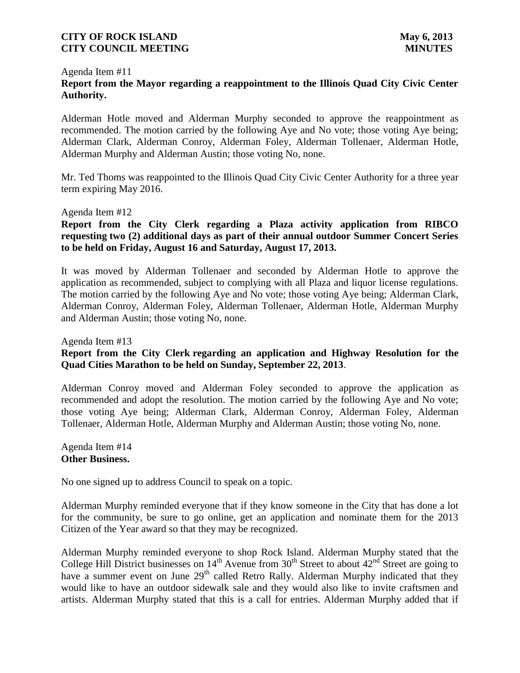### Agenda Item #11 **Report from the Mayor regarding a reappointment to the Illinois Quad City Civic Center Authority.**

Alderman Hotle moved and Alderman Murphy seconded to approve the reappointment as recommended. The motion carried by the following Aye and No vote; those voting Aye being; Alderman Clark, Alderman Conroy, Alderman Foley, Alderman Tollenaer, Alderman Hotle, Alderman Murphy and Alderman Austin; those voting No, none.

Mr. Ted Thoms was reappointed to the Illinois Quad City Civic Center Authority for a three year term expiring May 2016.

### Agenda Item #12

**Report from the City Clerk regarding a Plaza activity application from RIBCO requesting two (2) additional days as part of their annual outdoor Summer Concert Series to be held on Friday, August 16 and Saturday, August 17, 2013.** 

It was moved by Alderman Tollenaer and seconded by Alderman Hotle to approve the application as recommended, subject to complying with all Plaza and liquor license regulations. The motion carried by the following Aye and No vote; those voting Aye being; Alderman Clark, Alderman Conroy, Alderman Foley, Alderman Tollenaer, Alderman Hotle, Alderman Murphy and Alderman Austin; those voting No, none.

# Agenda Item #13 **Report from the City Clerk regarding an application and Highway Resolution for the Quad Cities Marathon to be held on Sunday, September 22, 2013**.

Alderman Conroy moved and Alderman Foley seconded to approve the application as recommended and adopt the resolution. The motion carried by the following Aye and No vote; those voting Aye being; Alderman Clark, Alderman Conroy, Alderman Foley, Alderman Tollenaer, Alderman Hotle, Alderman Murphy and Alderman Austin; those voting No, none.

Agenda Item #14 **Other Business.**

No one signed up to address Council to speak on a topic.

Alderman Murphy reminded everyone that if they know someone in the City that has done a lot for the community, be sure to go online, get an application and nominate them for the 2013 Citizen of the Year award so that they may be recognized.

Alderman Murphy reminded everyone to shop Rock Island. Alderman Murphy stated that the College Hill District businesses on  $14<sup>th</sup>$  Avenue from  $30<sup>th</sup>$  Street to about  $42<sup>nd</sup>$  Street are going to have a summer event on June 29<sup>th</sup> called Retro Rally. Alderman Murphy indicated that they would like to have an outdoor sidewalk sale and they would also like to invite craftsmen and artists. Alderman Murphy stated that this is a call for entries. Alderman Murphy added that if